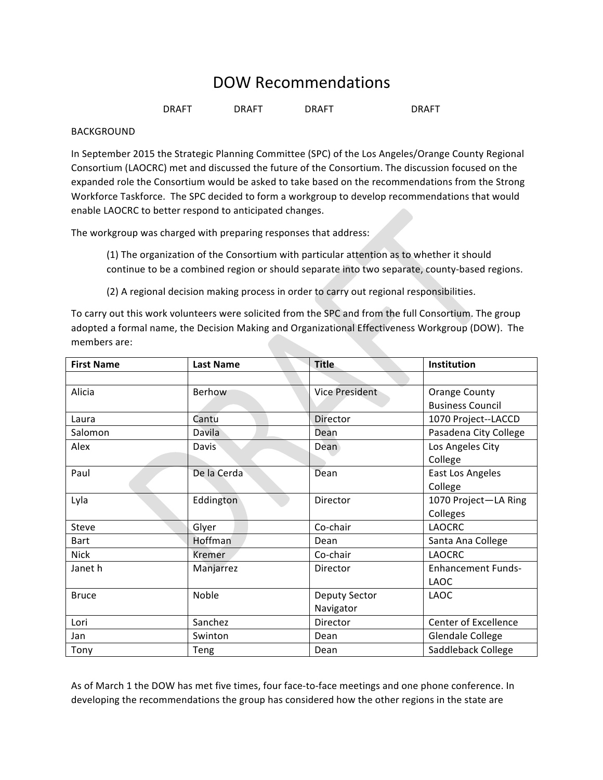# DOW Recommendations

DRAFT DRAFT DRAFT DRAFT

#### BACKGROUND

In September 2015 the Strategic Planning Committee (SPC) of the Los Angeles/Orange County Regional Consortium (LAOCRC) met and discussed the future of the Consortium. The discussion focused on the expanded role the Consortium would be asked to take based on the recommendations from the Strong Workforce Taskforce. The SPC decided to form a workgroup to develop recommendations that would enable LAOCRC to better respond to anticipated changes.

The workgroup was charged with preparing responses that address:

(1) The organization of the Consortium with particular attention as to whether it should continue to be a combined region or should separate into two separate, county-based regions.

(2) A regional decision making process in order to carry out regional responsibilities.

To carry out this work volunteers were solicited from the SPC and from the full Consortium. The group adopted a formal name, the Decision Making and Organizational Effectiveness Workgroup (DOW). The members are:

| <b>First Name</b> | <b>Last Name</b> | <b>Title</b>          | Institution               |
|-------------------|------------------|-----------------------|---------------------------|
|                   |                  |                       |                           |
| Alicia            | Berhow           | <b>Vice President</b> | Orange County             |
|                   |                  |                       | <b>Business Council</b>   |
| Laura             | Cantu            | Director              | 1070 Project--LACCD       |
| Salomon           | Davila           | Dean                  | Pasadena City College     |
| Alex              | <b>Davis</b>     | Dean                  | Los Angeles City          |
|                   |                  |                       | College                   |
| Paul              | De la Cerda      | Dean                  | East Los Angeles          |
|                   |                  |                       | College                   |
| Lyla              | Eddington        | Director              | 1070 Project-LA Ring      |
|                   |                  |                       | Colleges                  |
| Steve             | Glyer            | Co-chair              | <b>LAOCRC</b>             |
| <b>Bart</b>       | Hoffman          | Dean                  | Santa Ana College         |
| <b>Nick</b>       | <b>Kremer</b>    | Co-chair              | <b>LAOCRC</b>             |
| Janet h           | Manjarrez        | Director              | <b>Enhancement Funds-</b> |
|                   |                  |                       | <b>LAOC</b>               |
| <b>Bruce</b>      | Noble            | <b>Deputy Sector</b>  | <b>LAOC</b>               |
|                   |                  | Navigator             |                           |
| Lori              | Sanchez          | Director              | Center of Excellence      |
| Jan               | Swinton          | Dean                  | Glendale College          |
| Tony              | Teng             | Dean                  | Saddleback College        |

As of March 1 the DOW has met five times, four face-to-face meetings and one phone conference. In developing the recommendations the group has considered how the other regions in the state are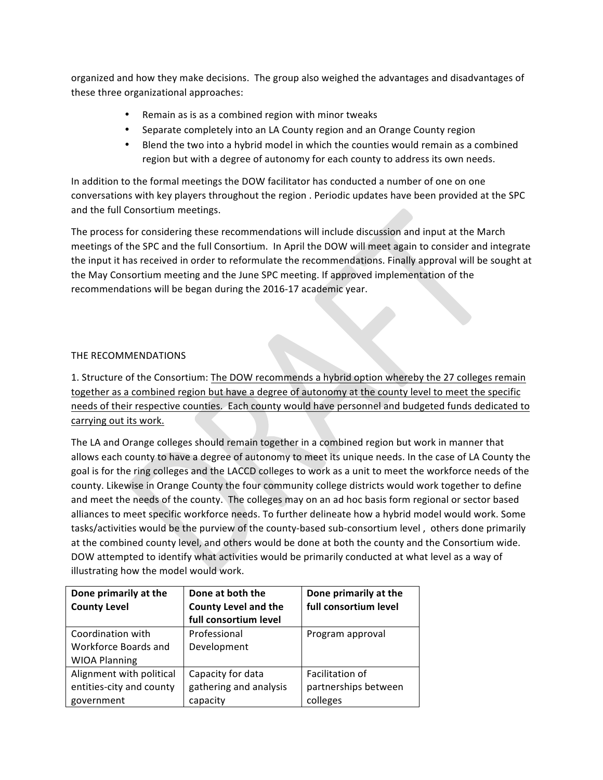organized and how they make decisions. The group also weighed the advantages and disadvantages of these three organizational approaches:

- Remain as is as a combined region with minor tweaks
- Separate completely into an LA County region and an Orange County region
- Blend the two into a hybrid model in which the counties would remain as a combined region but with a degree of autonomy for each county to address its own needs.

In addition to the formal meetings the DOW facilitator has conducted a number of one on one conversations with key players throughout the region . Periodic updates have been provided at the SPC and the full Consortium meetings.

The process for considering these recommendations will include discussion and input at the March meetings of the SPC and the full Consortium. In April the DOW will meet again to consider and integrate the input it has received in order to reformulate the recommendations. Finally approval will be sought at the May Consortium meeting and the June SPC meeting. If approved implementation of the recommendations will be began during the 2016-17 academic year.

### THE RECOMMENDATIONS

1. Structure of the Consortium: The DOW recommends a hybrid option whereby the 27 colleges remain together as a combined region but have a degree of autonomy at the county level to meet the specific needs of their respective counties. Each county would have personnel and budgeted funds dedicated to carrying out its work.

The LA and Orange colleges should remain together in a combined region but work in manner that allows each county to have a degree of autonomy to meet its unique needs. In the case of LA County the goal is for the ring colleges and the LACCD colleges to work as a unit to meet the workforce needs of the county. Likewise in Orange County the four community college districts would work together to define and meet the needs of the county. The colleges may on an ad hoc basis form regional or sector based alliances to meet specific workforce needs. To further delineate how a hybrid model would work. Some tasks/activities would be the purview of the county-based sub-consortium level, others done primarily at the combined county level, and others would be done at both the county and the Consortium wide. DOW attempted to identify what activities would be primarily conducted at what level as a way of illustrating how the model would work.

| Done primarily at the<br><b>County Level</b>                       | Done at both the<br><b>County Level and the</b><br>full consortium level | Done primarily at the<br>full consortium level      |
|--------------------------------------------------------------------|--------------------------------------------------------------------------|-----------------------------------------------------|
| Coordination with<br>Workforce Boards and<br><b>WIOA Planning</b>  | Professional<br>Development                                              | Program approval                                    |
| Alignment with political<br>entities-city and county<br>government | Capacity for data<br>gathering and analysis<br>capacity                  | Facilitation of<br>partnerships between<br>colleges |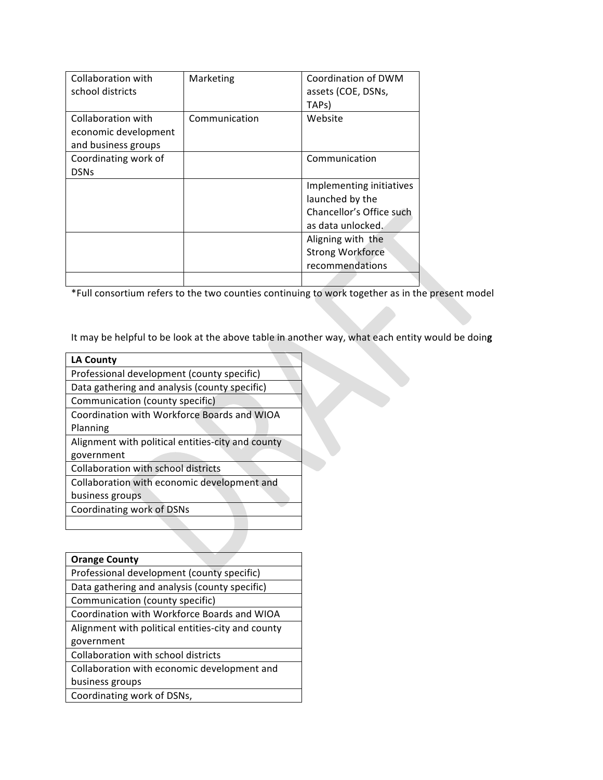| Collaboration with   | Marketing     | Coordination of DWM      |
|----------------------|---------------|--------------------------|
| school districts     |               | assets (COE, DSNs,       |
|                      |               | TAP <sub>S</sub> )       |
| Collaboration with   | Communication | Website                  |
| economic development |               |                          |
| and business groups  |               |                          |
| Coordinating work of |               | Communication            |
| <b>DSNs</b>          |               |                          |
|                      |               | Implementing initiatives |
|                      |               | launched by the          |
|                      |               | Chancellor's Office such |
|                      |               | as data unlocked.        |
|                      |               | Aligning with the        |
|                      |               | <b>Strong Workforce</b>  |
|                      |               | recommendations          |
|                      |               |                          |

\*Full consortium refers to the two counties continuing to work together as in the present model

It may be helpful to be look at the above table in another way, what each entity would be doing

| <b>LA County</b>                                  |  |
|---------------------------------------------------|--|
| Professional development (county specific)        |  |
| Data gathering and analysis (county specific)     |  |
| Communication (county specific)                   |  |
| Coordination with Workforce Boards and WIOA       |  |
| Planning                                          |  |
| Alignment with political entities-city and county |  |
| government                                        |  |
| Collaboration with school districts               |  |
| Collaboration with economic development and       |  |
| business groups                                   |  |
| Coordinating work of DSNs                         |  |
|                                                   |  |
|                                                   |  |

| <b>Orange County</b>                              |
|---------------------------------------------------|
| Professional development (county specific)        |
| Data gathering and analysis (county specific)     |
| Communication (county specific)                   |
| Coordination with Workforce Boards and WIOA       |
| Alignment with political entities-city and county |
| government                                        |
| Collaboration with school districts               |
| Collaboration with economic development and       |
| business groups                                   |
| Coordinating work of DSNs,                        |
|                                                   |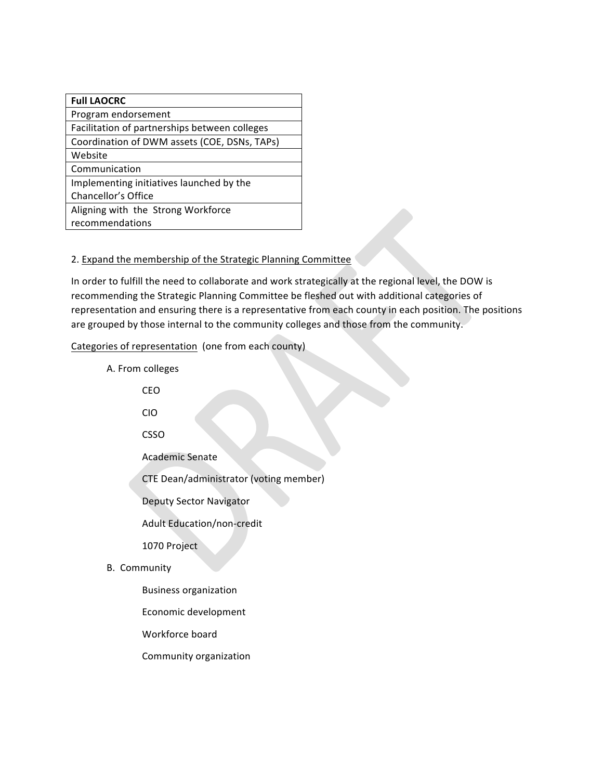| <b>Full LAOCRC</b>                            |
|-----------------------------------------------|
| Program endorsement                           |
| Facilitation of partnerships between colleges |
| Coordination of DWM assets (COE, DSNs, TAPs)  |
| Website                                       |
| Communication                                 |
| Implementing initiatives launched by the      |
| Chancellor's Office                           |
| Aligning with the Strong Workforce            |
| recommendations                               |
|                                               |

### 2. Expand the membership of the Strategic Planning Committee

In order to fulfill the need to collaborate and work strategically at the regional level, the DOW is recommending the Strategic Planning Committee be fleshed out with additional categories of representation and ensuring there is a representative from each county in each position. The positions are grouped by those internal to the community colleges and those from the community.

Categories of representation (one from each county)

A. From colleges CEO CIO CSSO Academic Senate CTE Dean/administrator (voting member) Deputy Sector Navigator Adult Education/non-credit 1070 Project B. Community Business organization Economic development Workforce board

Community organization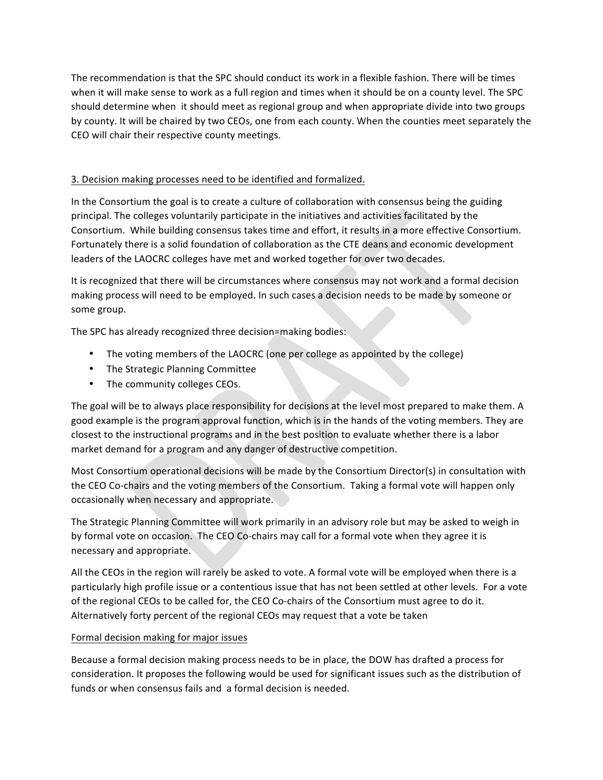The recommendation is that the SPC should conduct its work in a flexible fashion. There will be times when it will make sense to work as a full region and times when it should be on a county level. The SPC should determine when it should meet as regional group and when appropriate divide into two groups by county. It will be chaired by two CEOs, one from each county. When the counties meet separately the CEO will chair their respective county meetings.

# 3. Decision making processes need to be identified and formalized.

In the Consortium the goal is to create a culture of collaboration with consensus being the guiding principal. The colleges voluntarily participate in the initiatives and activities facilitated by the Consortium. While building consensus takes time and effort, it results in a more effective Consortium. Fortunately there is a solid foundation of collaboration as the CTE deans and economic development leaders of the LAOCRC colleges have met and worked together for over two decades.

It is recognized that there will be circumstances where consensus may not work and a formal decision making process will need to be employed. In such cases a decision needs to be made by someone or some group.

The SPC has already recognized three decision=making bodies:

- The voting members of the LAOCRC (one per college as appointed by the college)
- The Strategic Planning Committee
- The community colleges CEOs.

The goal will be to always place responsibility for decisions at the level most prepared to make them. A good example is the program approval function, which is in the hands of the voting members. They are closest to the instructional programs and in the best position to evaluate whether there is a labor market demand for a program and any danger of destructive competition.

Most Consortium operational decisions will be made by the Consortium Director(s) in consultation with the CEO Co-chairs and the voting members of the Consortium. Taking a formal vote will happen only occasionally when necessary and appropriate.

The Strategic Planning Committee will work primarily in an advisory role but may be asked to weigh in by formal vote on occasion. The CEO Co-chairs may call for a formal vote when they agree it is necessary and appropriate.

All the CEOs in the region will rarely be asked to vote. A formal vote will be employed when there is a particularly high profile issue or a contentious issue that has not been settled at other levels. For a vote of the regional CEOs to be called for, the CEO Co-chairs of the Consortium must agree to do it. Alternatively forty percent of the regional CEOs may request that a vote be taken

## Formal decision making for major issues

Because a formal decision making process needs to be in place, the DOW has drafted a process for consideration. It proposes the following would be used for significant issues such as the distribution of funds or when consensus fails and a formal decision is needed.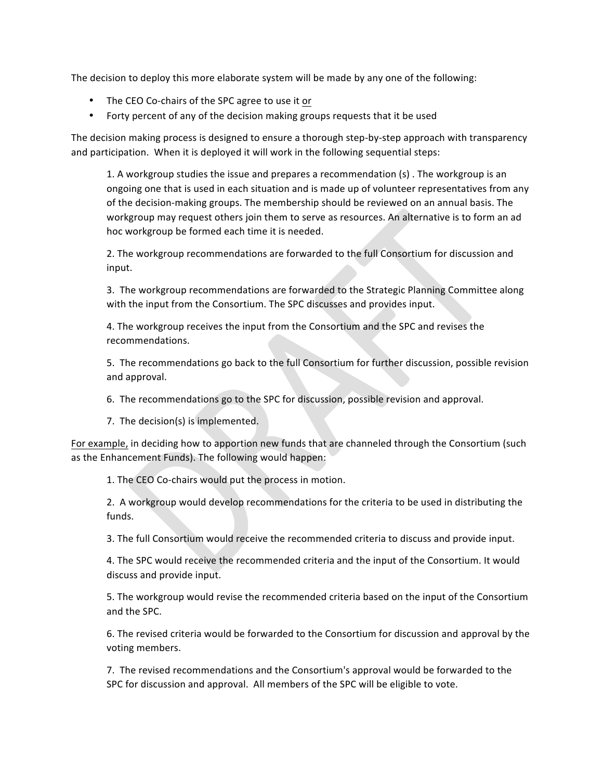The decision to deploy this more elaborate system will be made by any one of the following:

- The CEO Co-chairs of the SPC agree to use it or
- Forty percent of any of the decision making groups requests that it be used

The decision making process is designed to ensure a thorough step-by-step approach with transparency and participation. When it is deployed it will work in the following sequential steps:

1. A workgroup studies the issue and prepares a recommendation  $(s)$  . The workgroup is an ongoing one that is used in each situation and is made up of volunteer representatives from any of the decision-making groups. The membership should be reviewed on an annual basis. The workgroup may request others join them to serve as resources. An alternative is to form an ad hoc workgroup be formed each time it is needed.

2. The workgroup recommendations are forwarded to the full Consortium for discussion and input. 

3. The workgroup recommendations are forwarded to the Strategic Planning Committee along with the input from the Consortium. The SPC discusses and provides input.

4. The workgroup receives the input from the Consortium and the SPC and revises the recommendations. 

5. The recommendations go back to the full Consortium for further discussion, possible revision and approval.

6. The recommendations go to the SPC for discussion, possible revision and approval.

7. The decision(s) is implemented.

For example, in deciding how to apportion new funds that are channeled through the Consortium (such as the Enhancement Funds). The following would happen:

1. The CEO Co-chairs would put the process in motion.

2. A workgroup would develop recommendations for the criteria to be used in distributing the funds.

3. The full Consortium would receive the recommended criteria to discuss and provide input.

4. The SPC would receive the recommended criteria and the input of the Consortium. It would discuss and provide input.

5. The workgroup would revise the recommended criteria based on the input of the Consortium and the SPC.

6. The revised criteria would be forwarded to the Consortium for discussion and approval by the voting members.

7. The revised recommendations and the Consortium's approval would be forwarded to the SPC for discussion and approval. All members of the SPC will be eligible to vote.